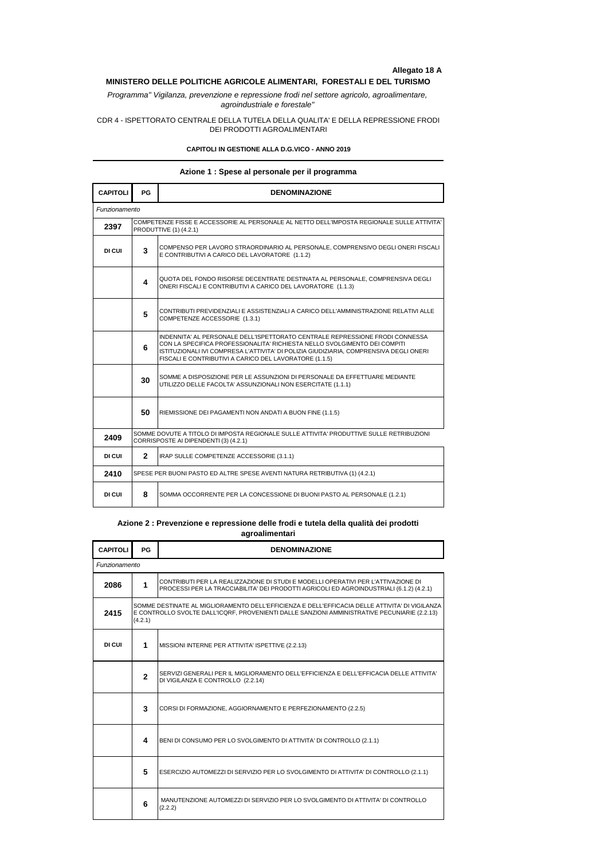## **Allegato 18 A**

# **MINISTERO DELLE POLITICHE AGRICOLE ALIMENTARI, FORESTALI E DEL TURISMO**

*Programma" Vigilanza, prevenzione e repressione frodi nel settore agricolo, agroalimentare, agroindustriale e forestale"*

CDR 4 - ISPETTORATO CENTRALE DELLA TUTELA DELLA QUALITA' E DELLA REPRESSIONE FRODI DEI PRODOTTI AGROALIMENTARI

#### **CAPITOLI IN GESTIONE ALLA D.G.VICO - ANNO 2019**

### **Azione 1 : Spese al personale per il programma**

| <b>CAPITOLI</b> | <b>PG</b>                                                                                                                         | <b>DENOMINAZIONE</b>                                                                                                                                                                                                                                                                                          |  |
|-----------------|-----------------------------------------------------------------------------------------------------------------------------------|---------------------------------------------------------------------------------------------------------------------------------------------------------------------------------------------------------------------------------------------------------------------------------------------------------------|--|
| Funzionamento   |                                                                                                                                   |                                                                                                                                                                                                                                                                                                               |  |
| 2397            | COMPETENZE FISSE E ACCESSORIE AL PERSONALE AL NETTO DELL'IMPOSTA REGIONALE SULLE ATTIVITA'<br>PRODUTTIVE (1) (4.2.1)              |                                                                                                                                                                                                                                                                                                               |  |
| DI CUI          | 3                                                                                                                                 | COMPENSO PER LAVORO STRAORDINARIO AL PERSONALE. COMPRENSIVO DEGLI ONERI FISCALI<br>E CONTRIBUTIVI A CARICO DEL LAVORATORE (1.1.2)                                                                                                                                                                             |  |
|                 | 4                                                                                                                                 | QUOTA DEL FONDO RISORSE DECENTRATE DESTINATA AL PERSONALE, COMPRENSIVA DEGLI<br>ONERI FISCALI E CONTRIBUTIVI A CARICO DEL LAVORATORE (1.1.3)                                                                                                                                                                  |  |
|                 | 5                                                                                                                                 | CONTRIBUTI PREVIDENZIALI E ASSISTENZIALI A CARICO DELL'AMMINISTRAZIONE RELATIVI ALLE<br>COMPETENZE ACCESSORIE (1.3.1)                                                                                                                                                                                         |  |
|                 | 6                                                                                                                                 | INDENNITA' AL PERSONALE DELL'ISPETTORATO CENTRALE REPRESSIONE FRODI CONNESSA<br>CON LA SPECIFICA PROFESSIONALITA' RICHIESTA NELLO SVOLGIMENTO DEI COMPITI<br>ISTITUZIONALI IVI COMPRESA L'ATTIVITA' DI POLIZIA GIUDIZIARIA, COMPRENSIVA DEGLI ONERI<br>FISCALI E CONTRIBUTIVI A CARICO DEL LAVORATORE (1.1.5) |  |
|                 | 30                                                                                                                                | SOMME A DISPOSIZIONE PER LE ASSUNZIONI DI PERSONALE DA EFFETTUARE MEDIANTE<br>UTILIZZO DELLE FACOLTA' ASSUNZIONALI NON ESERCITATE (1.1.1)                                                                                                                                                                     |  |
|                 | 50                                                                                                                                | RIEMISSIONE DEI PAGAMENTI NON ANDATI A BUON FINE (1.1.5)                                                                                                                                                                                                                                                      |  |
| 2409            | SOMME DOVUTE A TITOLO DI IMPOSTA REGIONALE SULLE ATTIVITA' PRODUTTIVE SULLE RETRIBUZIONI<br>CORRISPOSTE AI DIPENDENTI (3) (4.2.1) |                                                                                                                                                                                                                                                                                                               |  |
| DI CUI          | $\mathbf{2}$                                                                                                                      | IRAP SULLE COMPETENZE ACCESSORIE (3.1.1)                                                                                                                                                                                                                                                                      |  |
| 2410            | SPESE PER BUONI PASTO ED ALTRE SPESE AVENTI NATURA RETRIBUTIVA (1) (4.2.1)                                                        |                                                                                                                                                                                                                                                                                                               |  |
| DI CUI          | 8                                                                                                                                 | SOMMA OCCORRENTE PER LA CONCESSIONE DI BUONI PASTO AL PERSONALE (1.2.1)                                                                                                                                                                                                                                       |  |

### **Azione 2 : Prevenzione e repressione delle frodi e tutela della qualità dei prodotti agroalimentari**

| <b>CAPITOLI</b> | <b>PG</b>                                                                                                                                                                                                 | <b>DENOMINAZIONE</b>                                                                                                                                                          |
|-----------------|-----------------------------------------------------------------------------------------------------------------------------------------------------------------------------------------------------------|-------------------------------------------------------------------------------------------------------------------------------------------------------------------------------|
| Funzionamento   |                                                                                                                                                                                                           |                                                                                                                                                                               |
| 2086            | 1                                                                                                                                                                                                         | ICONTRIBUTI PER LA REALIZZAZIONE DI STUDI E MODELLI OPERATIVI PER L'ATTIVAZIONE DI<br>PROCESSI PER LA TRACCIABILITA' DEI PRODOTTI AGRICOLI ED AGROINDUSTRIALI (6.1.2) (4.2.1) |
| 2415            | SOMME DESTINATE AL MIGLIORAMENTO DELL'EFFICIENZA E DELL'EFFICACIA DELLE ATTIVITA' DI VIGILANZA<br>E CONTROLLO SVOLTE DALL'ICQRF, PROVENIENTI DALLE SANZIONI AMMINISTRATIVE PECUNIARIE (2.2.13)<br>(4.2.1) |                                                                                                                                                                               |
| DI CUI          | 1                                                                                                                                                                                                         | MISSIONI INTERNE PER ATTIVITA' ISPETTIVE (2.2.13)                                                                                                                             |
|                 | $\mathbf{2}$                                                                                                                                                                                              | SERVIZI GENERALI PER IL MIGLIORAMENTO DELL'EFFICIENZA E DELL'EFFICACIA DELLE ATTIVITA'<br>DI VIGILANZA E CONTROLLO (2.2.14)                                                   |
|                 | 3                                                                                                                                                                                                         | CORSI DI FORMAZIONE, AGGIORNAMENTO E PERFEZIONAMENTO (2.2.5)                                                                                                                  |
|                 | 4                                                                                                                                                                                                         | BENI DI CONSUMO PER LO SVOLGIMENTO DI ATTIVITA' DI CONTROLLO (2.1.1)                                                                                                          |
|                 | 5                                                                                                                                                                                                         | ESERCIZIO AUTOMEZZI DI SERVIZIO PER LO SVOLGIMENTO DI ATTIVITA' DI CONTROLLO (2.1.1)                                                                                          |
|                 | 6                                                                                                                                                                                                         | MANUTENZIONE AUTOMEZZI DI SERVIZIO PER LO SVOLGIMENTO DI ATTIVITA' DI CONTROLLO<br>(2.2.2)                                                                                    |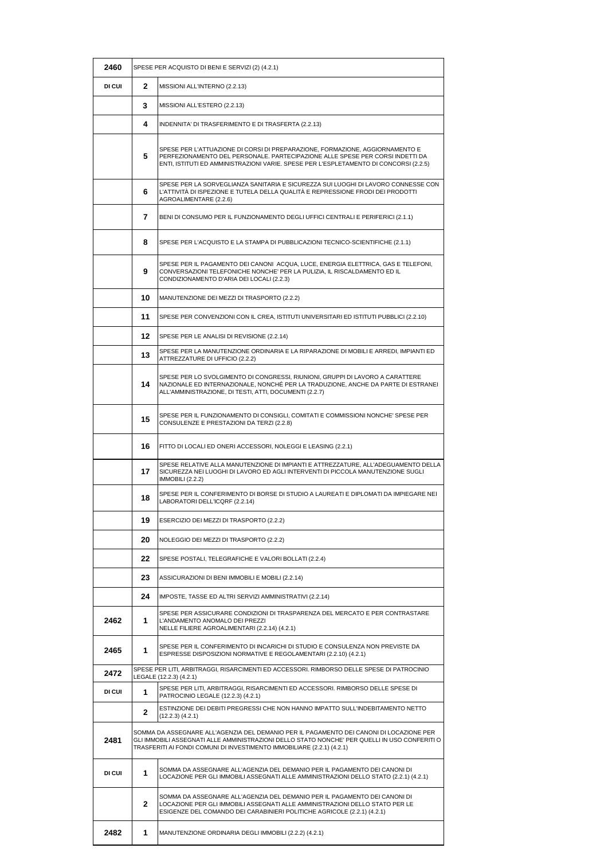| 2460   | SPESE PER ACQUISTO DI BENI E SERVIZI (2) (4.2.1) |                                                                                                                                                                                                                                                                    |
|--------|--------------------------------------------------|--------------------------------------------------------------------------------------------------------------------------------------------------------------------------------------------------------------------------------------------------------------------|
| DI CUI | $\mathbf{2}$                                     | MISSIONI ALL'INTERNO (2.2.13)                                                                                                                                                                                                                                      |
|        | 3                                                | MISSIONI ALL'ESTERO (2.2.13)                                                                                                                                                                                                                                       |
|        | 4                                                | INDENNITA' DI TRASFERIMENTO E DI TRASFERTA (2.2.13)                                                                                                                                                                                                                |
|        | 5                                                | SPESE PER L'ATTUAZIONE DI CORSI DI PREPARAZIONE, FORMAZIONE, AGGIORNAMENTO E<br>PERFEZIONAMENTO DEL PERSONALE. PARTECIPAZIONE ALLE SPESE PER CORSI INDETTI DA<br>ENTI, ISTITUTI ED AMMINISTRAZIONI VARIE. SPESE PER L'ESPLETAMENTO DI CONCORSI (2.2.5)             |
|        | 6                                                | SPESE PER LA SORVEGLIANZA SANITARIA E SICUREZZA SUI LUOGHI DI LAVORO CONNESSE CON<br>L'ATTIVITÀ DI ISPEZIONE E TUTELA DELLA QUALITÀ E REPRESSIONE FRODI DEI PRODOTTI<br>AGROALIMENTARE (2.2.6)                                                                     |
|        | 7                                                | BENI DI CONSUMO PER IL FUNZIONAMENTO DEGLI UFFICI CENTRALI E PERIFERICI (2.1.1)                                                                                                                                                                                    |
|        | 8                                                | SPESE PER L'ACQUISTO E LA STAMPA DI PUBBLICAZIONI TECNICO-SCIENTIFICHE (2.1.1)                                                                                                                                                                                     |
|        | 9                                                | SPESE PER IL PAGAMENTO DEI CANONI ACQUA, LUCE, ENERGIA ELETTRICA, GAS E TELEFONI,<br>CONVERSAZIONI TELEFONICHE NONCHE' PER LA PULIZIA. IL RISCALDAMENTO ED IL<br>CONDIZIONAMENTO D'ARIA DEI LOCALI (2.2.3)                                                         |
|        | 10                                               | MANUTENZIONE DEI MEZZI DI TRASPORTO (2.2.2)                                                                                                                                                                                                                        |
|        | 11                                               | SPESE PER CONVENZIONI CON IL CREA, ISTITUTI UNIVERSITARI ED ISTITUTI PUBBLICI (2.2.10)                                                                                                                                                                             |
|        | $12 \,$                                          | SPESE PER LE ANALISI DI REVISIONE (2.2.14)                                                                                                                                                                                                                         |
|        | 13                                               | SPESE PER LA MANUTENZIONE ORDINARIA E LA RIPARAZIONE DI MOBILI E ARREDI, IMPIANTI ED<br>ATTREZZATURE DI UFFICIO (2.2.2)                                                                                                                                            |
|        | 14                                               | SPESE PER LO SVOLGIMENTO DI CONGRESSI, RIUNIONI, GRUPPI DI LAVORO A CARATTERE<br>NAZIONALE ED INTERNAZIONALE, NONCHÉ PER LA TRADUZIONE, ANCHE DA PARTE DI ESTRANEI<br>ALL'AMMINISTRAZIONE, DI TESTI, ATTI, DOCUMENTI (2.2.7)                                       |
|        | 15                                               | SPESE PER IL FUNZIONAMENTO DI CONSIGLI, COMITATI E COMMISSIONI NONCHE' SPESE PER<br>CONSULENZE E PRESTAZIONI DA TERZI (2.2.8)                                                                                                                                      |
|        | 16                                               | FITTO DI LOCALI ED ONERI ACCESSORI, NOLEGGI E LEASING (2.2.1)                                                                                                                                                                                                      |
|        | 17                                               | SPESE RELATIVE ALLA MANUTENZIONE DI IMPIANTI E ATTREZZATURE, ALL'ADEGUAMENTO DELLA<br>SICUREZZA NEI LUOGHI DI LAVORO ED AGLI INTERVENTI DI PICCOLA MANUTENZIONE SUGLI<br><b>IMMOBILI (2.2.2)</b>                                                                   |
|        | 18                                               | SPESE PER IL CONFERIMENTO DI BORSE DI STUDIO A LAUREATI E DIPLOMATI DA IMPIEGARE NEI<br>LABORATORI DELL'ICQRF (2.2.14)                                                                                                                                             |
|        | 19                                               | ESERCIZIO DEI MEZZI DI TRASPORTO (2.2.2)                                                                                                                                                                                                                           |
|        | 20                                               | NOLEGGIO DEI MEZZI DI TRASPORTO (2.2.2)                                                                                                                                                                                                                            |
|        | 22                                               | SPESE POSTALI, TELEGRAFICHE E VALORI BOLLATI (2.2.4)                                                                                                                                                                                                               |
|        | 23                                               | ASSICURAZIONI DI BENI IMMOBILI E MOBILI (2.2.14)                                                                                                                                                                                                                   |
|        | 24                                               | IMPOSTE, TASSE ED ALTRI SERVIZI AMMINISTRATIVI (2.2.14)                                                                                                                                                                                                            |
| 2462   | 1                                                | SPESE PER ASSICURARE CONDIZIONI DI TRASPARENZA DEL MERCATO E PER CONTRASTARE<br>L'ANDAMENTO ANOMALO DEI PREZZI<br>NELLE FILIERE AGROALIMENTARI (2.2.14) (4.2.1)                                                                                                    |
| 2465   | 1                                                | SPESE PER IL CONFERIMENTO DI INCARICHI DI STUDIO E CONSULENZA NON PREVISTE DA<br>ESPRESSE DISPOSIZIONI NORMATIVE E REGOLAMENTARI (2.2.10) (4.2.1)                                                                                                                  |
| 2472   |                                                  | SPESE PER LITI, ARBITRAGGI, RISARCIMENTI ED ACCESSORI. RIMBORSO DELLE SPESE DI PATROCINIO<br>LEGALE (12.2.3) (4.2.1)                                                                                                                                               |
| DI CUI | 1                                                | SPESE PER LITI, ARBITRAGGI, RISARCIMENTI ED ACCESSORI. RIMBORSO DELLE SPESE DI<br>PATROCINIO LEGALE (12.2.3) (4.2.1)                                                                                                                                               |
|        | $\mathbf{2}$                                     | ESTINZIONE DEI DEBITI PREGRESSI CHE NON HANNO IMPATTO SULL'INDEBITAMENTO NETTO<br>$(12.2.3)$ $(4.2.1)$                                                                                                                                                             |
| 2481   |                                                  | SOMMA DA ASSEGNARE ALL'AGENZIA DEL DEMANIO PER IL PAGAMENTO DEI CANONI DI LOCAZIONE PER<br>GLI IMMOBILI ASSEGNATI ALLE AMMINISTRAZIONI DELLO STATO NONCHE' PER QUELLI IN USO CONFERITI O<br>TRASFERITI AI FONDI COMUNI DI INVESTIMENTO IMMOBILIARE (2.2.1) (4.2.1) |
| DI CUI | 1                                                | SOMMA DA ASSEGNARE ALL'AGENZIA DEL DEMANIO PER IL PAGAMENTO DEI CANONI DI<br>LOCAZIONE PER GLI IMMOBILI ASSEGNATI ALLE AMMINISTRAZIONI DELLO STATO (2.2.1) (4.2.1)                                                                                                 |
|        | $\mathbf{2}$                                     | SOMMA DA ASSEGNARE ALL'AGENZIA DEL DEMANIO PER IL PAGAMENTO DEI CANONI DI<br>LOCAZIONE PER GLI IMMOBILI ASSEGNATI ALLE AMMINISTRAZIONI DELLO STATO PER LE<br>ESIGENZE DEL COMANDO DEI CARABINIERI POLITICHE AGRICOLE (2.2.1) (4.2.1)                               |
| 2482   | 1                                                | MANUTENZIONE ORDINARIA DEGLI IMMOBILI (2.2.2) (4.2.1)                                                                                                                                                                                                              |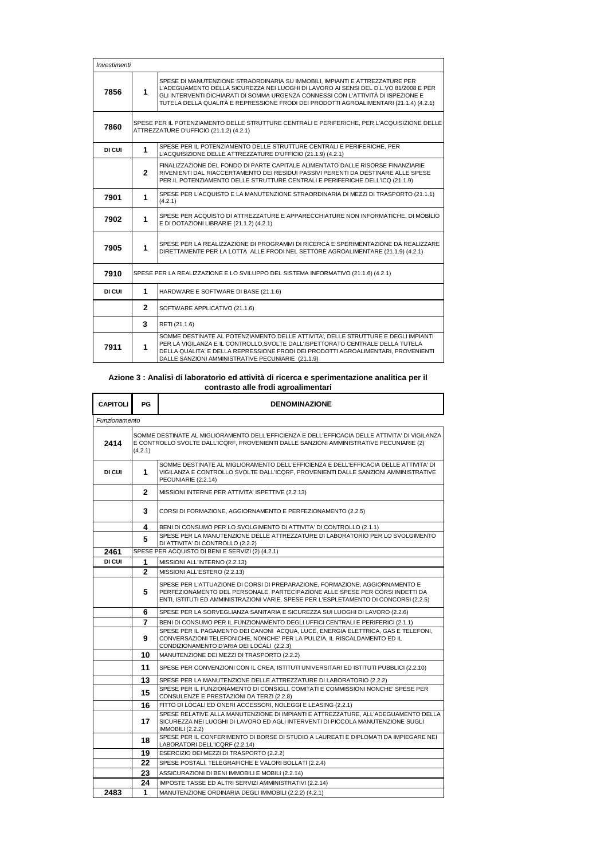| Investimenti |                                                                                   |                                                                                                                                                                                                                                                                                                                                                    |
|--------------|-----------------------------------------------------------------------------------|----------------------------------------------------------------------------------------------------------------------------------------------------------------------------------------------------------------------------------------------------------------------------------------------------------------------------------------------------|
| 7856         | 1                                                                                 | SPESE DI MANUTENZIONE STRAORDINARIA SU IMMOBILI. IMPIANTI E ATTREZZATURE PER<br>L'ADEGUAMENTO DELLA SICUREZZA NEI LUOGHI DI LAVORO AI SENSI DEL D.L.VO 81/2008 E PER<br>GLI INTERVENTI DICHIARATI DI SOMMA URGENZA CONNESSI CON L'ATTIVITÀ DI ISPEZIONE E<br>TUTELA DELLA QUALITÀ E REPRESSIONE FRODI DEI PRODOTTI AGROALIMENTARI (21.1.4) (4.2.1) |
| 7860         |                                                                                   | SPESE PER IL POTENZIAMENTO DELLE STRUTTURE CENTRALI E PERIFERICHE, PER L'ACQUISIZIONE DELLE<br>ATTREZZATURE D'UFFICIO (21.1.2) (4.2.1)                                                                                                                                                                                                             |
| DI CUI       | 1                                                                                 | SPESE PER IL POTENZIAMENTO DELLE STRUTTURE CENTRALI E PERIFERICHE, PER<br>L'ACQUISIZIONE DELLE ATTREZZATURE D'UFFICIO (21.1.9) (4.2.1)                                                                                                                                                                                                             |
|              | $\mathbf{2}$                                                                      | FINALIZZAZIONE DEL FONDO DI PARTE CAPITALE ALIMENTATO DALLE RISORSE FINANZIARIE<br>RIVENIENTI DAL RIACCERTAMENTO DEI RESIDUI PASSIVI PERENTI DA DESTINARE ALLE SPESE<br>PER IL POTENZIAMENTO DELLE STRUTTURE CENTRALI E PERIFERICHE DELL'ICQ (21.1.9)                                                                                              |
| 7901         | 1                                                                                 | SPESE PER L'ACQUISTO E LA MANUTENZIONE STRAORDINARIA DI MEZZI DI TRASPORTO (21.1.1)<br>(4.2.1)                                                                                                                                                                                                                                                     |
| 7902         | 1                                                                                 | SPESE PER ACQUISTO DI ATTREZZATURE E APPARECCHIATURE NON INFORMATICHE, DI MOBILIO<br>E DI DOTAZIONI LIBRARIE (21.1.2) (4.2.1)                                                                                                                                                                                                                      |
| 7905         | $\mathbf{1}$                                                                      | SPESE PER LA REALIZZAZIONE DI PROGRAMMI DI RICERCA E SPERIMENTAZIONE DA REALIZZARE<br>DIRETTAMENTE PER LA LOTTA ALLE FRODI NEL SETTORE AGROALIMENTARE (21.1.9) (4.2.1)                                                                                                                                                                             |
| 7910         | SPESE PER LA REALIZZAZIONE E LO SVILUPPO DEL SISTEMA INFORMATIVO (21.1.6) (4.2.1) |                                                                                                                                                                                                                                                                                                                                                    |
| DI CUI       | 1                                                                                 | HARDWARE E SOFTWARE DI BASE (21.1.6)                                                                                                                                                                                                                                                                                                               |
|              | $\mathbf{2}$                                                                      | SOFTWARE APPLICATIVO (21.1.6)                                                                                                                                                                                                                                                                                                                      |
|              | 3                                                                                 | RETI (21.1.6)                                                                                                                                                                                                                                                                                                                                      |
| 7911         | 1                                                                                 | SOMME DESTINATE AL POTENZIAMENTO DELLE ATTIVITA', DELLE STRUTTURE E DEGLI IMPIANTI<br>PER LA VIGILANZA E IL CONTROLLO.SVOLTE DALL'ISPETTORATO CENTRALE DELLA TUTELA<br>DELLA QUALITA' E DELLA REPRESSIONE FRODI DEI PRODOTTI AGROALIMENTARI, PROVENIENTI<br>DALLE SANZIONI AMMINISTRATIVE PECUNIARIE (21.1.9)                                      |

#### **Azione 3 : Analisi di laboratorio ed attività di ricerca e sperimentazione analitica per il contrasto alle frodi agroalimentari**

| <b>CAPITOLI</b> | <b>PG</b>                                                                                                                                                                                            | <b>DENOMINAZIONE</b>                                                                                                                                                                                                                                   |
|-----------------|------------------------------------------------------------------------------------------------------------------------------------------------------------------------------------------------------|--------------------------------------------------------------------------------------------------------------------------------------------------------------------------------------------------------------------------------------------------------|
| Funzionamento   |                                                                                                                                                                                                      |                                                                                                                                                                                                                                                        |
| 2414            | SOMME DESTINATE AL MIGLIORAMENTO DELL'EFFICIENZA E DELL'EFFICACIA DELLE ATTIVITA' DI VIGILANZA<br>E CONTROLLO SVOLTE DALL'ICQRF, PROVENIENTI DALLE SANZIONI AMMINISTRATIVE PECUNIARIE (2)<br>(4.2.1) |                                                                                                                                                                                                                                                        |
| DI CUI          | 1                                                                                                                                                                                                    | SOMME DESTINATE AL MIGLIORAMENTO DELL'EFFICIENZA E DELL'EFFICACIA DELLE ATTIVITA' DI<br>VIGILANZA E CONTROLLO SVOLTE DALL'ICQRF, PROVENIENTI DALLE SANZIONI AMMINISTRATIVE<br>PECUNIARIE (2.2.14)                                                      |
|                 | $\mathbf{2}$                                                                                                                                                                                         | MISSIONI INTERNE PER ATTIVITA' ISPETTIVE (2.2.13)                                                                                                                                                                                                      |
|                 | 3                                                                                                                                                                                                    | CORSI DI FORMAZIONE, AGGIORNAMENTO E PERFEZIONAMENTO (2.2.5)                                                                                                                                                                                           |
|                 | 4                                                                                                                                                                                                    | BENI DI CONSUMO PER LO SVOLGIMENTO DI ATTIVITA' DI CONTROLLO (2.1.1)                                                                                                                                                                                   |
|                 | 5                                                                                                                                                                                                    | SPESE PER LA MANUTENZIONE DELLE ATTREZZATURE DI LABORATORIO PER LO SVOLGIMENTO<br>DI ATTIVITA' DI CONTROLLO (2.2.2)                                                                                                                                    |
| 2461            |                                                                                                                                                                                                      | SPESE PER ACQUISTO DI BENI E SERVIZI (2) (4.2.1)                                                                                                                                                                                                       |
| DI CUI          | 1                                                                                                                                                                                                    | MISSIONI ALL'INTERNO (2.2.13)                                                                                                                                                                                                                          |
|                 | $\mathbf{2}$                                                                                                                                                                                         | MISSIONI ALL'ESTERO (2.2.13)                                                                                                                                                                                                                           |
|                 | 5                                                                                                                                                                                                    | SPESE PER L'ATTUAZIONE DI CORSI DI PREPARAZIONE, FORMAZIONE, AGGIORNAMENTO E<br>PERFEZIONAMENTO DEL PERSONALE. PARTECIPAZIONE ALLE SPESE PER CORSI INDETTI DA<br>ENTI, ISTITUTI ED AMMINISTRAZIONI VARIE. SPESE PER L'ESPLETAMENTO DI CONCORSI (2.2.5) |
|                 | 6                                                                                                                                                                                                    | SPESE PER LA SORVEGLIANZA SANITARIA E SICUREZZA SUI LUOGHI DI LAVORO (2.2.6)                                                                                                                                                                           |
|                 | 7                                                                                                                                                                                                    | BENI DI CONSUMO PER IL FUNZIONAMENTO DEGLI UFFICI CENTRALI E PERIFERICI (2.1.1)                                                                                                                                                                        |
|                 | 9                                                                                                                                                                                                    | SPESE PER IL PAGAMENTO DEI CANONI ACQUA, LUCE, ENERGIA ELETTRICA, GAS E TELEFONI.<br>CONVERSAZIONI TELEFONICHE, NONCHE' PER LA PULIZIA, IL RISCALDAMENTO ED IL<br>CONDIZIONAMENTO D'ARIA DEI LOCALI (2.2.3)                                            |
|                 | 10                                                                                                                                                                                                   | MANUTENZIONE DEI MEZZI DI TRASPORTO (2.2.2)                                                                                                                                                                                                            |
|                 | 11                                                                                                                                                                                                   | SPESE PER CONVENZIONI CON IL CREA, ISTITUTI UNIVERSITARI ED ISTITUTI PUBBLICI (2.2.10)                                                                                                                                                                 |
|                 | 13                                                                                                                                                                                                   | SPESE PER LA MANUTENZIONE DELLE ATTREZZATURE DI LABORATORIO (2.2.2)                                                                                                                                                                                    |
|                 | 15                                                                                                                                                                                                   | SPESE PER IL FUNZIONAMENTO DI CONSIGLI, COMITATI E COMMISSIONI NONCHE' SPESE PER<br>CONSULENZE E PRESTAZIONI DA TERZI (2.2.8)                                                                                                                          |
|                 | 16                                                                                                                                                                                                   | FITTO DI LOCALI ED ONERI ACCESSORI, NOLEGGI E LEASING (2.2.1)                                                                                                                                                                                          |
|                 | 17                                                                                                                                                                                                   | SPESE RELATIVE ALLA MANUTENZIONE DI IMPIANTI E ATTREZZATURE. ALL'ADEGUAMENTO DELLA<br>SICUREZZA NEI LUOGHI DI LAVORO ED AGLI INTERVENTI DI PICCOLA MANUTENZIONE SUGLI<br><b>IMMOBILI (2.2.2)</b>                                                       |
|                 | 18                                                                                                                                                                                                   | SPESE PER IL CONFERIMENTO DI BORSE DI STUDIO A LAUREATI E DIPLOMATI DA IMPIEGARE NEI<br>LABORATORI DELL'ICQRF (2.2.14)                                                                                                                                 |
|                 | 19                                                                                                                                                                                                   | ESERCIZIO DEI MEZZI DI TRASPORTO (2.2.2)                                                                                                                                                                                                               |
|                 | 22                                                                                                                                                                                                   | SPESE POSTALI, TELEGRAFICHE E VALORI BOLLATI (2.2.4)                                                                                                                                                                                                   |
|                 | 23                                                                                                                                                                                                   | ASSICURAZIONI DI BENI IMMOBILI E MOBILI (2.2.14)                                                                                                                                                                                                       |
|                 | 24                                                                                                                                                                                                   | IMPOSTE TASSE ED ALTRI SERVIZI AMMINISTRATIVI (2.2.14)                                                                                                                                                                                                 |
| 2483            | 1                                                                                                                                                                                                    | MANUTENZIONE ORDINARIA DEGLI IMMOBILI (2.2.2) (4.2.1)                                                                                                                                                                                                  |